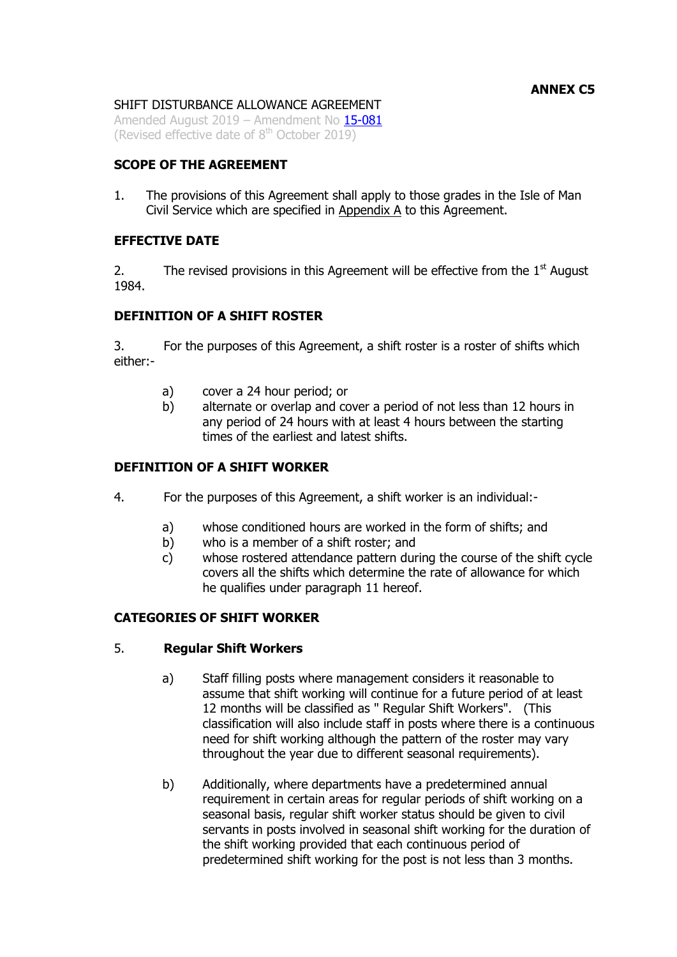# SHIFT DISTURBANCE ALLOWANCE AGREEMENT

Amended August 2019 – Amendment No [15-081](https://hr.gov.im/media/1732/psc-15-081-cs-regs-annex-c5-shift-disturbance-allowance.pdf) (Revised effective date of  $8<sup>th</sup>$  October 2019)

# **SCOPE OF THE AGREEMENT**

1. The provisions of this Agreement shall apply to those grades in the Isle of Man Civil Service which are specified in Appendix A to this Agreement.

# **EFFECTIVE DATE**

2. The revised provisions in this Agreement will be effective from the  $1<sup>st</sup>$  August 1984.

## **DEFINITION OF A SHIFT ROSTER**

3. For the purposes of this Agreement, a shift roster is a roster of shifts which either:-

- a) cover a 24 hour period; or
- b) alternate or overlap and cover a period of not less than 12 hours in any period of 24 hours with at least 4 hours between the starting times of the earliest and latest shifts.

### **DEFINITION OF A SHIFT WORKER**

- 4. For the purposes of this Agreement, a shift worker is an individual:
	- a) whose conditioned hours are worked in the form of shifts; and
	- b) who is a member of a shift roster; and
	- c) whose rostered attendance pattern during the course of the shift cycle covers all the shifts which determine the rate of allowance for which he qualifies under paragraph 11 hereof.

# **CATEGORIES OF SHIFT WORKER**

### 5. **Regular Shift Workers**

- a) Staff filling posts where management considers it reasonable to assume that shift working will continue for a future period of at least 12 months will be classified as " Regular Shift Workers". (This classification will also include staff in posts where there is a continuous need for shift working although the pattern of the roster may vary throughout the year due to different seasonal requirements).
- b) Additionally, where departments have a predetermined annual requirement in certain areas for regular periods of shift working on a seasonal basis, regular shift worker status should be given to civil servants in posts involved in seasonal shift working for the duration of the shift working provided that each continuous period of predetermined shift working for the post is not less than 3 months.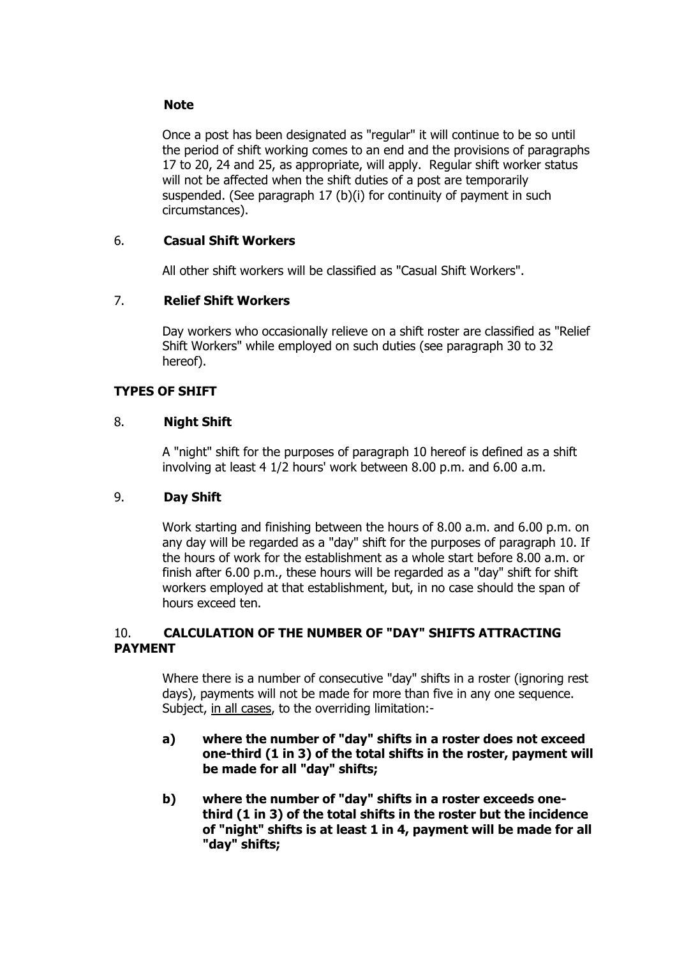# **Note**

Once a post has been designated as "regular" it will continue to be so until the period of shift working comes to an end and the provisions of paragraphs 17 to 20, 24 and 25, as appropriate, will apply. Regular shift worker status will not be affected when the shift duties of a post are temporarily suspended. (See paragraph 17 (b)(i) for continuity of payment in such circumstances).

# 6. **Casual Shift Workers**

All other shift workers will be classified as "Casual Shift Workers".

# 7. **Relief Shift Workers**

Day workers who occasionally relieve on a shift roster are classified as "Relief Shift Workers" while employed on such duties (see paragraph 30 to 32 hereof).

# **TYPES OF SHIFT**

# 8. **Night Shift**

A "night" shift for the purposes of paragraph 10 hereof is defined as a shift involving at least 4 1/2 hours' work between 8.00 p.m. and 6.00 a.m.

# 9. **Day Shift**

Work starting and finishing between the hours of 8.00 a.m. and 6.00 p.m. on any day will be regarded as a "day" shift for the purposes of paragraph 10. If the hours of work for the establishment as a whole start before 8.00 a.m. or finish after 6.00 p.m., these hours will be regarded as a "day" shift for shift workers employed at that establishment, but, in no case should the span of hours exceed ten.

# 10. **CALCULATION OF THE NUMBER OF "DAY" SHIFTS ATTRACTING PAYMENT**

Where there is a number of consecutive "day" shifts in a roster (ignoring rest days), payments will not be made for more than five in any one sequence. Subject, in all cases, to the overriding limitation:-

- **a) where the number of "day" shifts in a roster does not exceed one-third (1 in 3) of the total shifts in the roster, payment will be made for all "day" shifts;**
- **b) where the number of "day" shifts in a roster exceeds onethird (1 in 3) of the total shifts in the roster but the incidence of "night" shifts is at least 1 in 4, payment will be made for all "day" shifts;**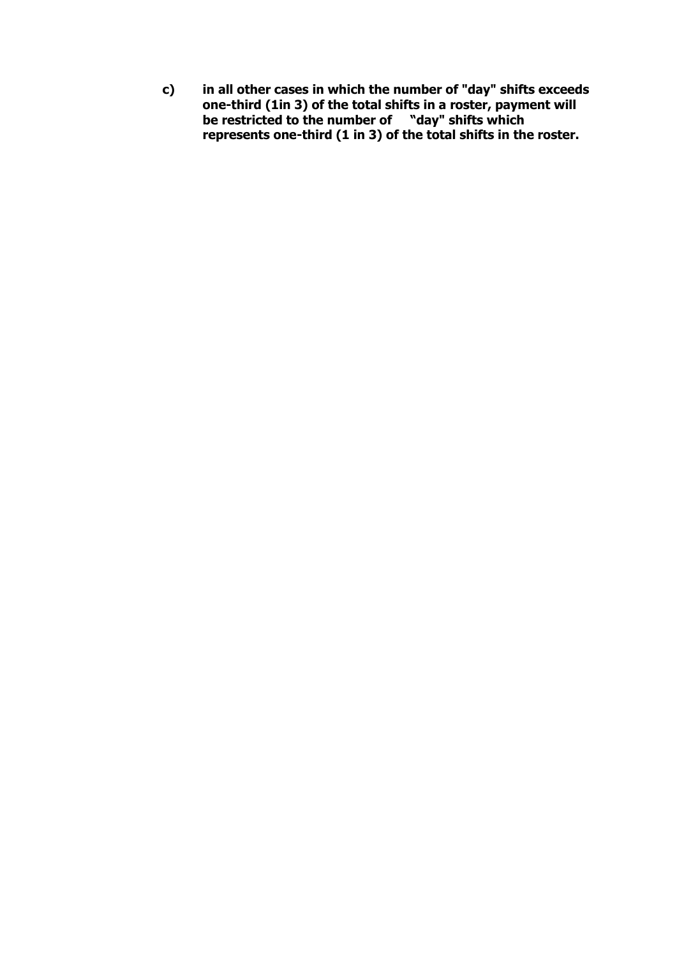**c) in all other cases in which the number of "day" shifts exceeds one-third (1in 3) of the total shifts in a roster, payment will be restricted to the number of "day" shifts which represents one-third (1 in 3) of the total shifts in the roster.**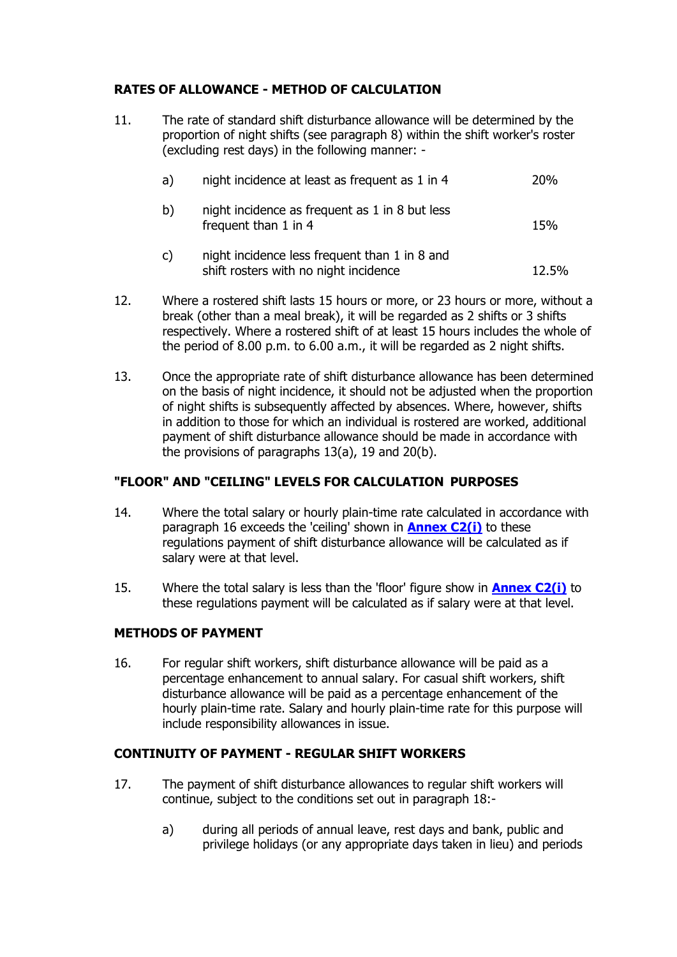# **RATES OF ALLOWANCE - METHOD OF CALCULATION**

11. The rate of standard shift disturbance allowance will be determined by the proportion of night shifts (see paragraph 8) within the shift worker's roster (excluding rest days) in the following manner: -

| a) | night incidence at least as frequent as 1 in 4                                         | 20%   |
|----|----------------------------------------------------------------------------------------|-------|
| b) | night incidence as frequent as 1 in 8 but less<br>frequent than 1 in 4                 | 15%   |
| c) | night incidence less frequent than 1 in 8 and<br>shift rosters with no night incidence | 12.5% |

- 12. Where a rostered shift lasts 15 hours or more, or 23 hours or more, without a break (other than a meal break), it will be regarded as 2 shifts or 3 shifts respectively. Where a rostered shift of at least 15 hours includes the whole of the period of 8.00 p.m. to 6.00 a.m., it will be regarded as 2 night shifts.
- 13. Once the appropriate rate of shift disturbance allowance has been determined on the basis of night incidence, it should not be adjusted when the proportion of night shifts is subsequently affected by absences. Where, however, shifts in addition to those for which an individual is rostered are worked, additional payment of shift disturbance allowance should be made in accordance with the provisions of paragraphs 13(a), 19 and 20(b).

# **"FLOOR" AND "CEILING" LEVELS FOR CALCULATION PURPOSES**

- 14. Where the total salary or hourly plain-time rate calculated in accordance with paragraph 16 exceeds the 'ceiling' shown in **[Annex C2\(i\)](http://www.gov.im/lib/docs/personnel/iomcs/annexc2i.pdf)** to these regulations payment of shift disturbance allowance will be calculated as if salary were at that level.
- 15. Where the total salary is less than the 'floor' figure show in **[Annex C2\(i\)](http://www.gov.im/lib/docs/personnel/iomcs/annexc2i.pdf)** to these regulations payment will be calculated as if salary were at that level.

# **METHODS OF PAYMENT**

16. For regular shift workers, shift disturbance allowance will be paid as a percentage enhancement to annual salary. For casual shift workers, shift disturbance allowance will be paid as a percentage enhancement of the hourly plain-time rate. Salary and hourly plain-time rate for this purpose will include responsibility allowances in issue.

# **CONTINUITY OF PAYMENT - REGULAR SHIFT WORKERS**

- 17. The payment of shift disturbance allowances to regular shift workers will continue, subject to the conditions set out in paragraph 18:
	- a) during all periods of annual leave, rest days and bank, public and privilege holidays (or any appropriate days taken in lieu) and periods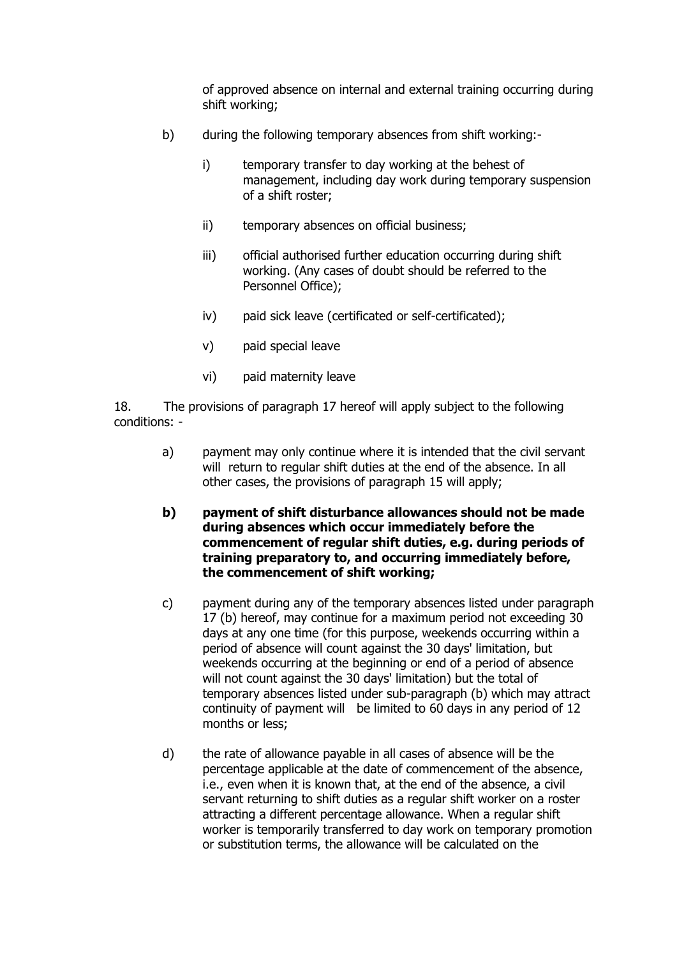of approved absence on internal and external training occurring during shift working;

- b) during the following temporary absences from shift working:
	- i) temporary transfer to day working at the behest of management, including day work during temporary suspension of a shift roster;
	- ii) temporary absences on official business;
	- iii) official authorised further education occurring during shift working. (Any cases of doubt should be referred to the Personnel Office);
	- iv) paid sick leave (certificated or self-certificated);
	- v) paid special leave
	- vi) paid maternity leave

18. The provisions of paragraph 17 hereof will apply subject to the following conditions: -

- a) payment may only continue where it is intended that the civil servant will return to regular shift duties at the end of the absence. In all other cases, the provisions of paragraph 15 will apply;
- **b) payment of shift disturbance allowances should not be made during absences which occur immediately before the commencement of regular shift duties, e.g. during periods of training preparatory to, and occurring immediately before, the commencement of shift working;**
- c) payment during any of the temporary absences listed under paragraph 17 (b) hereof, may continue for a maximum period not exceeding 30 days at any one time (for this purpose, weekends occurring within a period of absence will count against the 30 days' limitation, but weekends occurring at the beginning or end of a period of absence will not count against the 30 days' limitation) but the total of temporary absences listed under sub-paragraph (b) which may attract continuity of payment will be limited to 60 days in any period of 12 months or less;
- d) the rate of allowance payable in all cases of absence will be the percentage applicable at the date of commencement of the absence, i.e., even when it is known that, at the end of the absence, a civil servant returning to shift duties as a regular shift worker on a roster attracting a different percentage allowance. When a regular shift worker is temporarily transferred to day work on temporary promotion or substitution terms, the allowance will be calculated on the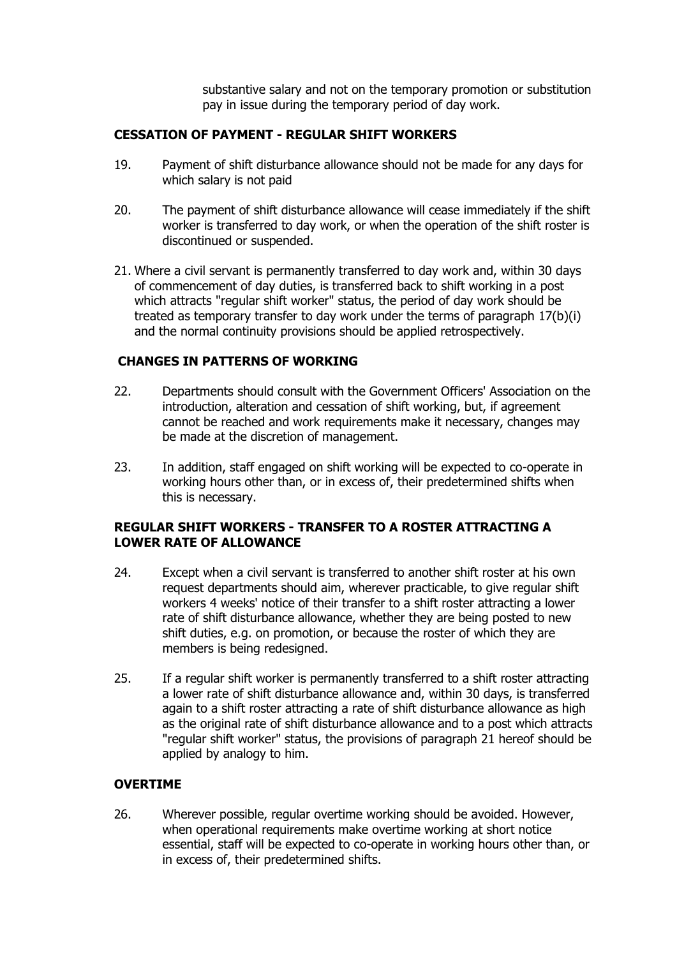substantive salary and not on the temporary promotion or substitution pay in issue during the temporary period of day work.

# **CESSATION OF PAYMENT - REGULAR SHIFT WORKERS**

- 19. Payment of shift disturbance allowance should not be made for any days for which salary is not paid
- 20. The payment of shift disturbance allowance will cease immediately if the shift worker is transferred to day work, or when the operation of the shift roster is discontinued or suspended.
- 21. Where a civil servant is permanently transferred to day work and, within 30 days of commencement of day duties, is transferred back to shift working in a post which attracts "regular shift worker" status, the period of day work should be treated as temporary transfer to day work under the terms of paragraph 17(b)(i) and the normal continuity provisions should be applied retrospectively.

### **CHANGES IN PATTERNS OF WORKING**

- 22. Departments should consult with the Government Officers' Association on the introduction, alteration and cessation of shift working, but, if agreement cannot be reached and work requirements make it necessary, changes may be made at the discretion of management.
- 23. In addition, staff engaged on shift working will be expected to co-operate in working hours other than, or in excess of, their predetermined shifts when this is necessary.

## **REGULAR SHIFT WORKERS - TRANSFER TO A ROSTER ATTRACTING A LOWER RATE OF ALLOWANCE**

- 24. Except when a civil servant is transferred to another shift roster at his own request departments should aim, wherever practicable, to give regular shift workers 4 weeks' notice of their transfer to a shift roster attracting a lower rate of shift disturbance allowance, whether they are being posted to new shift duties, e.g. on promotion, or because the roster of which they are members is being redesigned.
- 25. If a regular shift worker is permanently transferred to a shift roster attracting a lower rate of shift disturbance allowance and, within 30 days, is transferred again to a shift roster attracting a rate of shift disturbance allowance as high as the original rate of shift disturbance allowance and to a post which attracts "regular shift worker" status, the provisions of paragraph 21 hereof should be applied by analogy to him.

### **OVERTIME**

26. Wherever possible, regular overtime working should be avoided. However, when operational requirements make overtime working at short notice essential, staff will be expected to co-operate in working hours other than, or in excess of, their predetermined shifts.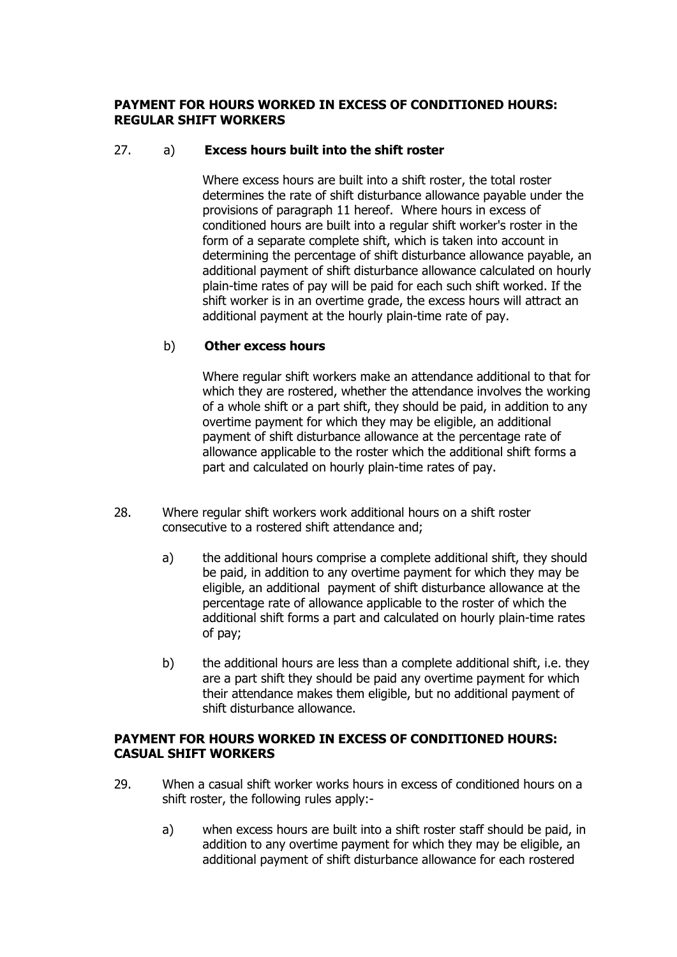## **PAYMENT FOR HOURS WORKED IN EXCESS OF CONDITIONED HOURS: REGULAR SHIFT WORKERS**

# 27. a) **Excess hours built into the shift roster**

Where excess hours are built into a shift roster, the total roster determines the rate of shift disturbance allowance payable under the provisions of paragraph 11 hereof. Where hours in excess of conditioned hours are built into a regular shift worker's roster in the form of a separate complete shift, which is taken into account in determining the percentage of shift disturbance allowance payable, an additional payment of shift disturbance allowance calculated on hourly plain-time rates of pay will be paid for each such shift worked. If the shift worker is in an overtime grade, the excess hours will attract an additional payment at the hourly plain-time rate of pay.

## b) **Other excess hours**

Where regular shift workers make an attendance additional to that for which they are rostered, whether the attendance involves the working of a whole shift or a part shift, they should be paid, in addition to any overtime payment for which they may be eligible, an additional payment of shift disturbance allowance at the percentage rate of allowance applicable to the roster which the additional shift forms a part and calculated on hourly plain-time rates of pay.

- 28. Where regular shift workers work additional hours on a shift roster consecutive to a rostered shift attendance and;
	- a) the additional hours comprise a complete additional shift, they should be paid, in addition to any overtime payment for which they may be eligible, an additional payment of shift disturbance allowance at the percentage rate of allowance applicable to the roster of which the additional shift forms a part and calculated on hourly plain-time rates of pay;
	- b) the additional hours are less than a complete additional shift, i.e. they are a part shift they should be paid any overtime payment for which their attendance makes them eligible, but no additional payment of shift disturbance allowance.

## **PAYMENT FOR HOURS WORKED IN EXCESS OF CONDITIONED HOURS: CASUAL SHIFT WORKERS**

- 29. When a casual shift worker works hours in excess of conditioned hours on a shift roster, the following rules apply:
	- a) when excess hours are built into a shift roster staff should be paid, in addition to any overtime payment for which they may be eligible, an additional payment of shift disturbance allowance for each rostered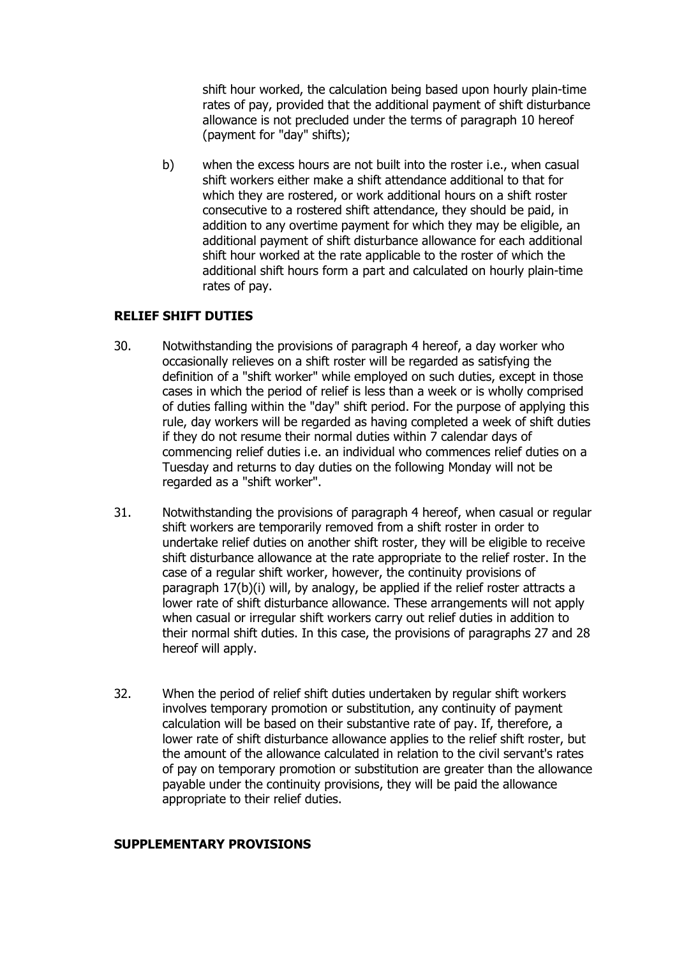shift hour worked, the calculation being based upon hourly plain-time rates of pay, provided that the additional payment of shift disturbance allowance is not precluded under the terms of paragraph 10 hereof (payment for "day" shifts);

b) when the excess hours are not built into the roster i.e., when casual shift workers either make a shift attendance additional to that for which they are rostered, or work additional hours on a shift roster consecutive to a rostered shift attendance, they should be paid, in addition to any overtime payment for which they may be eligible, an additional payment of shift disturbance allowance for each additional shift hour worked at the rate applicable to the roster of which the additional shift hours form a part and calculated on hourly plain-time rates of pay.

### **RELIEF SHIFT DUTIES**

- 30. Notwithstanding the provisions of paragraph 4 hereof, a day worker who occasionally relieves on a shift roster will be regarded as satisfying the definition of a "shift worker" while employed on such duties, except in those cases in which the period of relief is less than a week or is wholly comprised of duties falling within the "day" shift period. For the purpose of applying this rule, day workers will be regarded as having completed a week of shift duties if they do not resume their normal duties within 7 calendar days of commencing relief duties i.e. an individual who commences relief duties on a Tuesday and returns to day duties on the following Monday will not be regarded as a "shift worker".
- 31. Notwithstanding the provisions of paragraph 4 hereof, when casual or regular shift workers are temporarily removed from a shift roster in order to undertake relief duties on another shift roster, they will be eligible to receive shift disturbance allowance at the rate appropriate to the relief roster. In the case of a regular shift worker, however, the continuity provisions of paragraph 17(b)(i) will, by analogy, be applied if the relief roster attracts a lower rate of shift disturbance allowance. These arrangements will not apply when casual or irregular shift workers carry out relief duties in addition to their normal shift duties. In this case, the provisions of paragraphs 27 and 28 hereof will apply.
- 32. When the period of relief shift duties undertaken by regular shift workers involves temporary promotion or substitution, any continuity of payment calculation will be based on their substantive rate of pay. If, therefore, a lower rate of shift disturbance allowance applies to the relief shift roster, but the amount of the allowance calculated in relation to the civil servant's rates of pay on temporary promotion or substitution are greater than the allowance payable under the continuity provisions, they will be paid the allowance appropriate to their relief duties.

### **SUPPLEMENTARY PROVISIONS**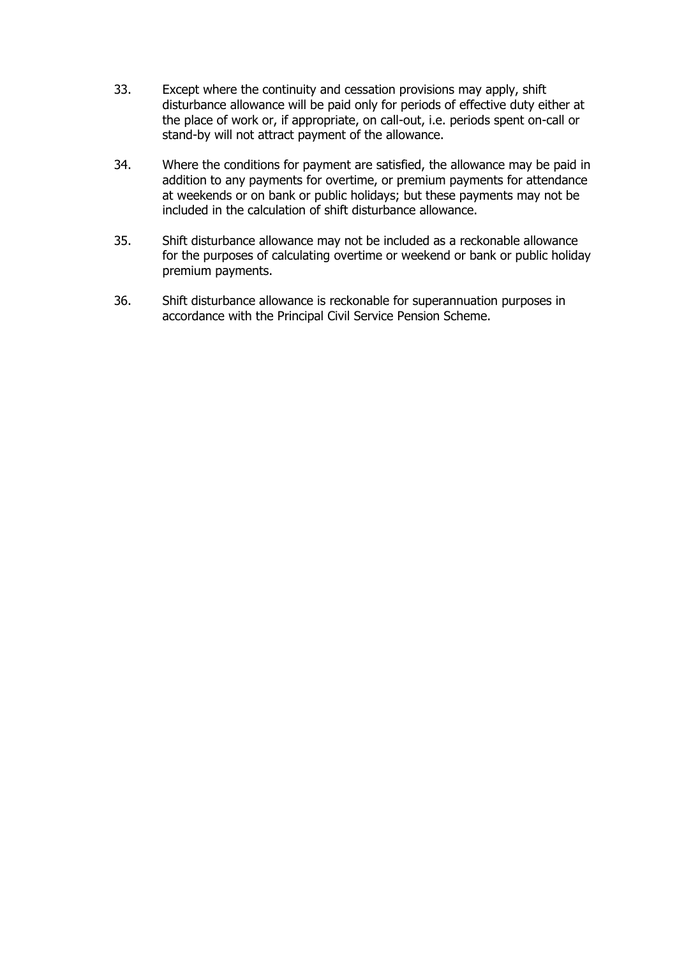- 33. Except where the continuity and cessation provisions may apply, shift disturbance allowance will be paid only for periods of effective duty either at the place of work or, if appropriate, on call-out, i.e. periods spent on-call or stand-by will not attract payment of the allowance.
- 34. Where the conditions for payment are satisfied, the allowance may be paid in addition to any payments for overtime, or premium payments for attendance at weekends or on bank or public holidays; but these payments may not be included in the calculation of shift disturbance allowance.
- 35. Shift disturbance allowance may not be included as a reckonable allowance for the purposes of calculating overtime or weekend or bank or public holiday premium payments.
- 36. Shift disturbance allowance is reckonable for superannuation purposes in accordance with the Principal Civil Service Pension Scheme.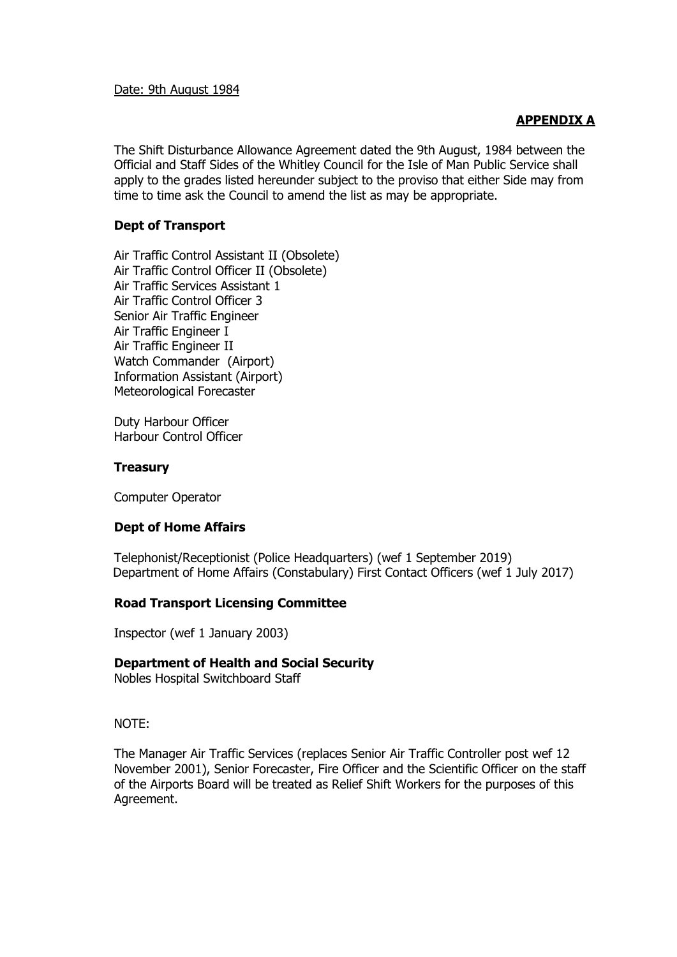Date: 9th August 1984

### **APPENDIX A**

The Shift Disturbance Allowance Agreement dated the 9th August, 1984 between the Official and Staff Sides of the Whitley Council for the Isle of Man Public Service shall apply to the grades listed hereunder subject to the proviso that either Side may from time to time ask the Council to amend the list as may be appropriate.

#### **Dept of Transport**

Air Traffic Control Assistant II (Obsolete) Air Traffic Control Officer II (Obsolete) Air Traffic Services Assistant 1 Air Traffic Control Officer 3 Senior Air Traffic Engineer Air Traffic Engineer I Air Traffic Engineer II Watch Commander (Airport) Information Assistant (Airport) Meteorological Forecaster

Duty Harbour Officer Harbour Control Officer

#### **Treasury**

Computer Operator

### **Dept of Home Affairs**

Telephonist/Receptionist (Police Headquarters) (wef 1 September 2019) Department of Home Affairs (Constabulary) First Contact Officers (wef 1 July 2017)

#### **Road Transport Licensing Committee**

Inspector (wef 1 January 2003)

#### **Department of Health and Social Security**

Nobles Hospital Switchboard Staff

NOTE:

The Manager Air Traffic Services (replaces Senior Air Traffic Controller post wef 12 November 2001), Senior Forecaster, Fire Officer and the Scientific Officer on the staff of the Airports Board will be treated as Relief Shift Workers for the purposes of this Agreement.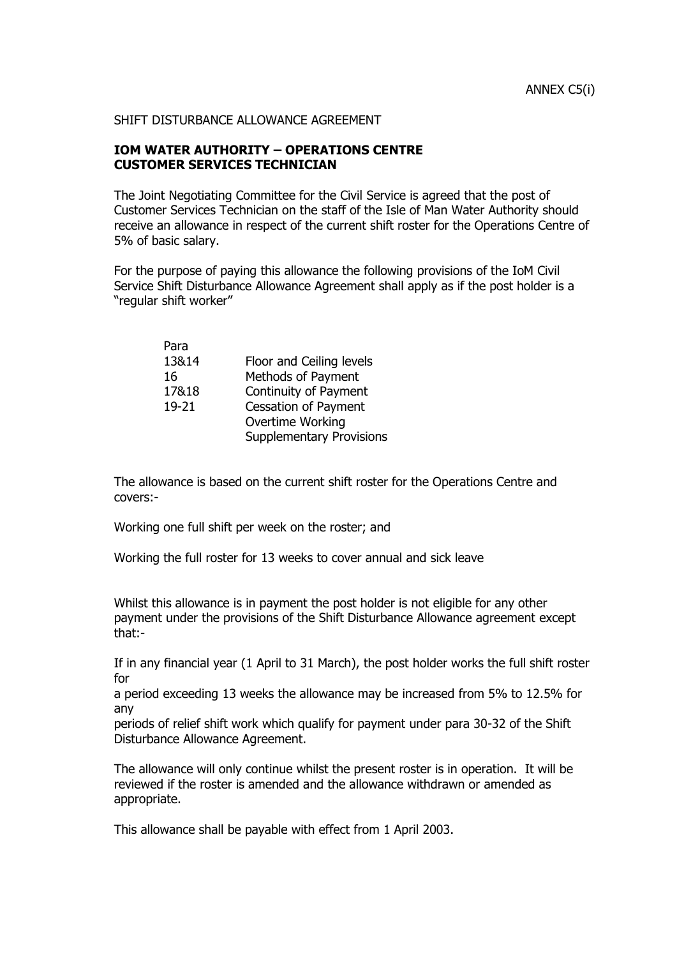#### SHIFT DISTURBANCE ALLOWANCE AGREEMENT

### **IOM WATER AUTHORITY – OPERATIONS CENTRE CUSTOMER SERVICES TECHNICIAN**

The Joint Negotiating Committee for the Civil Service is agreed that the post of Customer Services Technician on the staff of the Isle of Man Water Authority should receive an allowance in respect of the current shift roster for the Operations Centre of 5% of basic salary.

For the purpose of paying this allowance the following provisions of the IoM Civil Service Shift Disturbance Allowance Agreement shall apply as if the post holder is a "regular shift worker"

| Para  |                                 |
|-------|---------------------------------|
| 13&14 | Floor and Ceiling levels        |
| 16    | Methods of Payment              |
| 17&18 | Continuity of Payment           |
| 19-21 | <b>Cessation of Payment</b>     |
|       | Overtime Working                |
|       | <b>Supplementary Provisions</b> |
|       |                                 |

The allowance is based on the current shift roster for the Operations Centre and covers:-

Working one full shift per week on the roster; and

Working the full roster for 13 weeks to cover annual and sick leave

Whilst this allowance is in payment the post holder is not eligible for any other payment under the provisions of the Shift Disturbance Allowance agreement except that:-

If in any financial year (1 April to 31 March), the post holder works the full shift roster for

a period exceeding 13 weeks the allowance may be increased from 5% to 12.5% for any

periods of relief shift work which qualify for payment under para 30-32 of the Shift Disturbance Allowance Agreement.

The allowance will only continue whilst the present roster is in operation. It will be reviewed if the roster is amended and the allowance withdrawn or amended as appropriate.

This allowance shall be payable with effect from 1 April 2003.